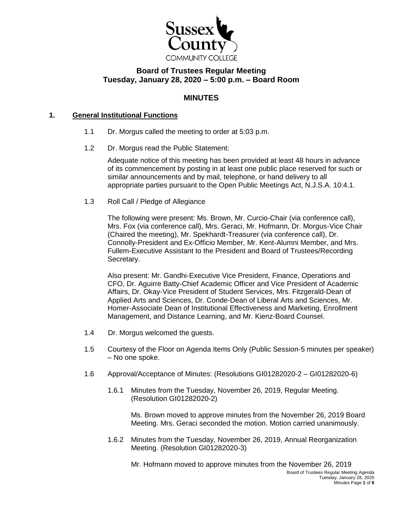

# **Board of Trustees Regular Meeting Tuesday, January 28, 2020 – 5:00 p.m. – Board Room**

## **MINUTES**

#### **1. General Institutional Functions**

- 1.1 Dr. Morgus called the meeting to order at 5:03 p.m.
- 1.2 Dr. Morgus read the Public Statement:

Adequate notice of this meeting has been provided at least 48 hours in advance of its commencement by posting in at least one public place reserved for such or similar announcements and by mail, telephone, or hand delivery to all appropriate parties pursuant to the Open Public Meetings Act, N.J.S.A. 10:4.1.

1.3 Roll Call / Pledge of Allegiance

The following were present: Ms. Brown, Mr. Curcio-Chair (via conference call), Mrs. Fox (via conference call), Mrs. Geraci, Mr. Hofmann, Dr. Morgus-Vice Chair (Chaired the meeting), Mr. Spekhardt-Treasurer (via conference call), Dr. Connolly-President and Ex-Officio Member, Mr. Kent-Alumni Member, and Mrs. Fullem-Executive Assistant to the President and Board of Trustees/Recording Secretary.

Also present: Mr. Gandhi-Executive Vice President, Finance, Operations and CFO, Dr. Aguirre Batty-Chief Academic Officer and Vice President of Academic Affairs, Dr. Okay-Vice President of Student Services, Mrs. Fitzgerald-Dean of Applied Arts and Sciences, Dr. Conde-Dean of Liberal Arts and Sciences, Mr. Homer-Associate Dean of Institutional Effectiveness and Marketing, Enrollment Management, and Distance Learning, and Mr. Kienz-Board Counsel.

- 1.4 Dr. Morgus welcomed the guests.
- 1.5 Courtesy of the Floor on Agenda Items Only (Public Session-5 minutes per speaker) – No one spoke.
- 1.6 Approval/Acceptance of Minutes: (Resolutions GI01282020-2 GI01282020-6)
	- 1.6.1 Minutes from the Tuesday, November 26, 2019, Regular Meeting. (Resolution GI01282020-2)

Ms. Brown moved to approve minutes from the November 26, 2019 Board Meeting. Mrs. Geraci seconded the motion. Motion carried unanimously.

1.6.2 Minutes from the Tuesday, November 26, 2019, Annual Reorganization Meeting. (Resolution GI01282020-3)

Board of Trustees Regular Meeting Agenda Tuesday, January 28, 2020 Minutes Page **1** of **8** Mr. Hofmann moved to approve minutes from the November 26, 2019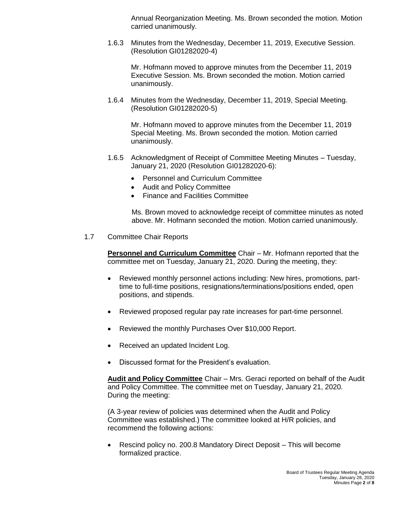Annual Reorganization Meeting. Ms. Brown seconded the motion. Motion carried unanimously.

1.6.3 Minutes from the Wednesday, December 11, 2019, Executive Session. (Resolution GI01282020-4)

Mr. Hofmann moved to approve minutes from the December 11, 2019 Executive Session. Ms. Brown seconded the motion. Motion carried unanimously.

1.6.4 Minutes from the Wednesday, December 11, 2019, Special Meeting. (Resolution GI01282020-5)

Mr. Hofmann moved to approve minutes from the December 11, 2019 Special Meeting. Ms. Brown seconded the motion. Motion carried unanimously.

- 1.6.5 Acknowledgment of Receipt of Committee Meeting Minutes Tuesday, January 21, 2020 (Resolution GI01282020-6):
	- Personnel and Curriculum Committee
	- Audit and Policy Committee
	- Finance and Facilities Committee

 Ms. Brown moved to acknowledge receipt of committee minutes as noted above. Mr. Hofmann seconded the motion. Motion carried unanimously.

1.7 Committee Chair Reports

**Personnel and Curriculum Committee** Chair – Mr. Hofmann reported that the committee met on Tuesday, January 21, 2020. During the meeting, they:

- Reviewed monthly personnel actions including: New hires, promotions, parttime to full-time positions, resignations/terminations/positions ended, open positions, and stipends.
- Reviewed proposed regular pay rate increases for part-time personnel.
- Reviewed the monthly Purchases Over \$10,000 Report.
- Received an updated Incident Log.
- Discussed format for the President's evaluation.

**Audit and Policy Committee** Chair – Mrs. Geraci reported on behalf of the Audit and Policy Committee. The committee met on Tuesday, January 21, 2020. During the meeting:

(A 3-year review of policies was determined when the Audit and Policy Committee was established.) The committee looked at H/R policies, and recommend the following actions:

 Rescind policy no. 200.8 Mandatory Direct Deposit – This will become formalized practice.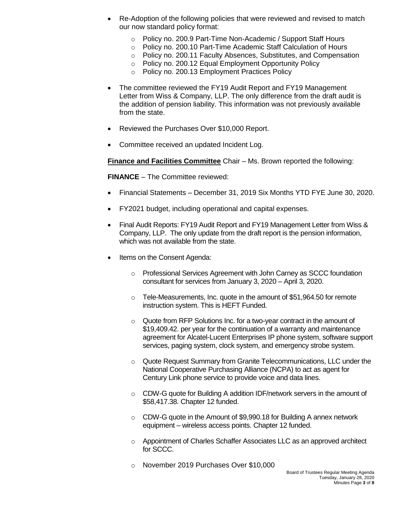- Re-Adoption of the following policies that were reviewed and revised to match our now standard policy format:
	- o Policy no. 200.9 Part-Time Non-Academic / Support Staff Hours
	- o Policy no. 200.10 Part-Time Academic Staff Calculation of Hours
	- o Policy no. 200.11 Faculty Absences, Substitutes, and Compensation
	- o Policy no. 200.12 Equal Employment Opportunity Policy
	- o Policy no. 200.13 Employment Practices Policy
- The committee reviewed the FY19 Audit Report and FY19 Management Letter from Wiss & Company, LLP. The only difference from the draft audit is the addition of pension liability. This information was not previously available from the state.
- Reviewed the Purchases Over \$10,000 Report.
- Committee received an updated Incident Log.

**Finance and Facilities Committee** Chair – Ms. Brown reported the following:

**FINANCE** – The Committee reviewed:

- Financial Statements December 31, 2019 Six Months YTD FYE June 30, 2020.
- FY2021 budget, including operational and capital expenses.
- Final Audit Reports: FY19 Audit Report and FY19 Management Letter from Wiss & Company, LLP. The only update from the draft report is the pension information, which was not available from the state.
- Items on the Consent Agenda:
	- $\circ$  Professional Services Agreement with John Carney as SCCC foundation consultant for services from January 3, 2020 – April 3, 2020.
	- o Tele-Measurements, Inc. quote in the amount of \$51,964.50 for remote instruction system. This is HEFT Funded.
	- o Quote from RFP Solutions Inc. for a two-year contract in the amount of \$19,409.42. per year for the continuation of a warranty and maintenance agreement for Alcatel-Lucent Enterprises IP phone system, software support services, paging system, clock system, and emergency strobe system.
	- o Quote Request Summary from Granite Telecommunications, LLC under the National Cooperative Purchasing Alliance (NCPA) to act as agent for Century Link phone service to provide voice and data lines.
	- o CDW-G quote for Building A addition IDF/network servers in the amount of \$58,417.38. Chapter 12 funded.
	- o CDW-G quote in the Amount of \$9,990.18 for Building A annex network equipment – wireless access points. Chapter 12 funded.
	- o Appointment of Charles Schaffer Associates LLC as an approved architect for SCCC.
	- o November 2019 Purchases Over \$10,000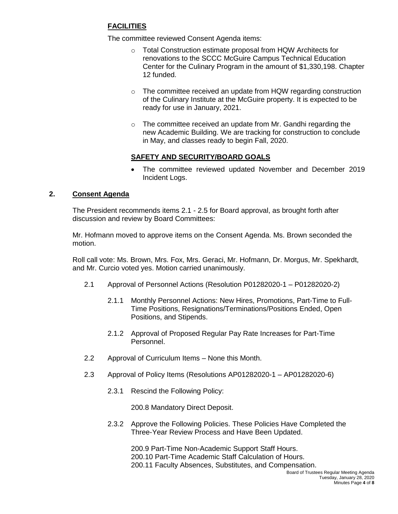## **FACILITIES**

The committee reviewed Consent Agenda items:

- o Total Construction estimate proposal from HQW Architects for renovations to the SCCC McGuire Campus Technical Education Center for the Culinary Program in the amount of \$1,330,198. Chapter 12 funded.
- o The committee received an update from HQW regarding construction of the Culinary Institute at the McGuire property. It is expected to be ready for use in January, 2021.
- o The committee received an update from Mr. Gandhi regarding the new Academic Building. We are tracking for construction to conclude in May, and classes ready to begin Fall, 2020.

## **SAFETY AND SECURITY/BOARD GOALS**

 The committee reviewed updated November and December 2019 Incident Logs.

### **2. Consent Agenda**

The President recommends items 2.1 - 2.5 for Board approval, as brought forth after discussion and review by Board Committees:

Mr. Hofmann moved to approve items on the Consent Agenda. Ms. Brown seconded the motion.

Roll call vote: Ms. Brown, Mrs. Fox, Mrs. Geraci, Mr. Hofmann, Dr. Morgus, Mr. Spekhardt, and Mr. Curcio voted yes. Motion carried unanimously.

- 2.1 Approval of Personnel Actions (Resolution P01282020-1 P01282020-2)
	- 2.1.1 Monthly Personnel Actions: New Hires, Promotions, Part-Time to Full-Time Positions, Resignations/Terminations/Positions Ended, Open Positions, and Stipends.
	- 2.1.2 Approval of Proposed Regular Pay Rate Increases for Part-Time Personnel.
- 2.2 Approval of Curriculum Items None this Month.
- 2.3 Approval of Policy Items (Resolutions AP01282020-1 AP01282020-6)
	- 2.3.1 Rescind the Following Policy:

200.8 Mandatory Direct Deposit.

2.3.2 Approve the Following Policies. These Policies Have Completed the Three-Year Review Process and Have Been Updated.

> 200.9 Part-Time Non-Academic Support Staff Hours. 200.10 Part-Time Academic Staff Calculation of Hours. 200.11 Faculty Absences, Substitutes, and Compensation.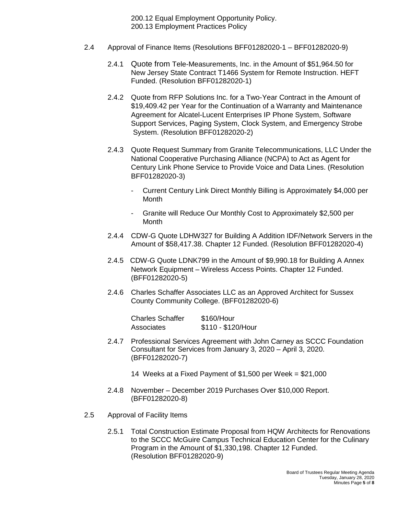200.12 Equal Employment Opportunity Policy. 200.13 Employment Practices Policy

- 2.4 Approval of Finance Items (Resolutions BFF01282020-1 BFF01282020-9)
	- 2.4.1 Quote from Tele-Measurements, Inc. in the Amount of \$51,964.50 for New Jersey State Contract T1466 System for Remote Instruction. HEFT Funded. (Resolution BFF01282020-1)
	- 2.4.2 Quote from RFP Solutions Inc. for a Two-Year Contract in the Amount of \$19,409.42 per Year for the Continuation of a Warranty and Maintenance Agreement for Alcatel-Lucent Enterprises IP Phone System, Software Support Services, Paging System, Clock System, and Emergency Strobe System. (Resolution BFF01282020-2)
	- 2.4.3 Quote Request Summary from Granite Telecommunications, LLC Under the National Cooperative Purchasing Alliance (NCPA) to Act as Agent for Century Link Phone Service to Provide Voice and Data Lines. (Resolution BFF01282020-3)
		- Current Century Link Direct Monthly Billing is Approximately \$4,000 per **Month**
		- Granite will Reduce Our Monthly Cost to Approximately \$2,500 per **Month**
	- 2.4.4 CDW-G Quote LDHW327 for Building A Addition IDF/Network Servers in the Amount of \$58,417.38. Chapter 12 Funded. (Resolution BFF01282020-4)
	- 2.4.5 CDW-G Quote LDNK799 in the Amount of \$9,990.18 for Building A Annex Network Equipment – Wireless Access Points. Chapter 12 Funded. (BFF01282020-5)
	- 2.4.6 Charles Schaffer Associates LLC as an Approved Architect for Sussex County Community College. (BFF01282020-6)

Charles Schaffer \$160/Hour Associates \$110 - \$120/Hour

- 2.4.7 Professional Services Agreement with John Carney as SCCC Foundation Consultant for Services from January 3, 2020 – April 3, 2020. (BFF01282020-7)
	- 14 Weeks at a Fixed Payment of \$1,500 per Week = \$21,000
- 2.4.8 November December 2019 Purchases Over \$10,000 Report. (BFF01282020-8)
- 2.5 Approval of Facility Items
	- 2.5.1 Total Construction Estimate Proposal from HQW Architects for Renovations to the SCCC McGuire Campus Technical Education Center for the Culinary Program in the Amount of \$1,330,198. Chapter 12 Funded. (Resolution BFF01282020-9)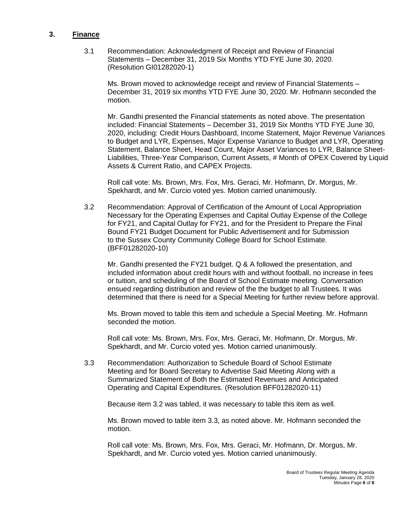#### **3. Finance**

3.1 Recommendation: Acknowledgment of Receipt and Review of Financial Statements – December 31, 2019 Six Months YTD FYE June 30, 2020. (Resolution GI01282020-1)

Ms. Brown moved to acknowledge receipt and review of Financial Statements – December 31, 2019 six months YTD FYE June 30, 2020. Mr. Hofmann seconded the motion.

Mr. Gandhi presented the Financial statements as noted above. The presentation included: Financial Statements – December 31, 2019 Six Months YTD FYE June 30, 2020, including: Credit Hours Dashboard, Income Statement, Major Revenue Variances to Budget and LYR, Expenses, Major Expense Variance to Budget and LYR, Operating Statement, Balance Sheet, Head Count, Major Asset Variances to LYR, Balance Sheet-Liabilities, Three-Year Comparison, Current Assets, # Month of OPEX Covered by Liquid Assets & Current Ratio, and CAPEX Projects.

Roll call vote: Ms. Brown, Mrs. Fox, Mrs. Geraci, Mr. Hofmann, Dr. Morgus, Mr. Spekhardt, and Mr. Curcio voted yes. Motion carried unanimously.

3.2 Recommendation: Approval of Certification of the Amount of Local Appropriation Necessary for the Operating Expenses and Capital Outlay Expense of the College for FY21, and Capital Outlay for FY21, and for the President to Prepare the Final Bound FY21 Budget Document for Public Advertisement and for Submission to the Sussex County Community College Board for School Estimate. (BFF01282020-10)

Mr. Gandhi presented the FY21 budget. Q & A followed the presentation, and included information about credit hours with and without football, no increase in fees or tuition, and scheduling of the Board of School Estimate meeting. Conversation ensued regarding distribution and review of the the budget to all Trustees. It was determined that there is need for a Special Meeting for further review before approval.

Ms. Brown moved to table this item and schedule a Special Meeting. Mr. Hofmann seconded the motion.

Roll call vote: Ms. Brown, Mrs. Fox, Mrs. Geraci, Mr. Hofmann, Dr. Morgus, Mr. Spekhardt, and Mr. Curcio voted yes. Motion carried unanimously.

3.3 Recommendation: Authorization to Schedule Board of School Estimate Meeting and for Board Secretary to Advertise Said Meeting Along with a Summarized Statement of Both the Estimated Revenues and Anticipated Operating and Capital Expenditures. (Resolution BFF01282020-11)

Because item 3.2 was tabled, it was necessary to table this item as well.

Ms. Brown moved to table item 3.3, as noted above. Mr. Hofmann seconded the motion.

Roll call vote: Ms. Brown, Mrs. Fox, Mrs. Geraci, Mr. Hofmann, Dr. Morgus, Mr. Spekhardt, and Mr. Curcio voted yes. Motion carried unanimously.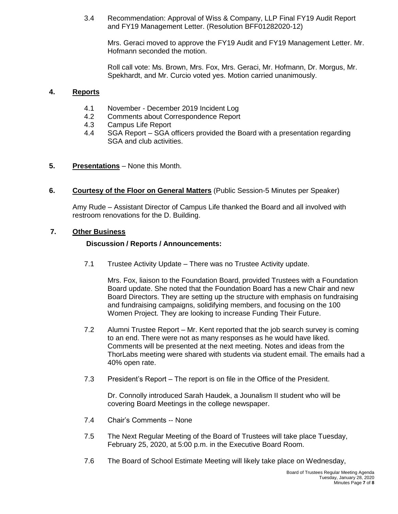3.4 Recommendation: Approval of Wiss & Company, LLP Final FY19 Audit Report and FY19 Management Letter. (Resolution BFF01282020-12)

Mrs. Geraci moved to approve the FY19 Audit and FY19 Management Letter. Mr. Hofmann seconded the motion.

Roll call vote: Ms. Brown, Mrs. Fox, Mrs. Geraci, Mr. Hofmann, Dr. Morgus, Mr. Spekhardt, and Mr. Curcio voted yes. Motion carried unanimously.

#### **4. Reports**

- 4.1 November December 2019 Incident Log
- 4.2 Comments about Correspondence Report
- 4.3 Campus Life Report
- 4.4 SGA Report SGA officers provided the Board with a presentation regarding SGA and club activities.
- **5. Presentations** None this Month.
- **6. Courtesy of the Floor on General Matters** (Public Session-5 Minutes per Speaker)

Amy Rude – Assistant Director of Campus Life thanked the Board and all involved with restroom renovations for the D. Building.

#### **7. Other Business**

#### **Discussion / Reports / Announcements:**

7.1 Trustee Activity Update – There was no Trustee Activity update.

Mrs. Fox, liaison to the Foundation Board, provided Trustees with a Foundation Board update. She noted that the Foundation Board has a new Chair and new Board Directors. They are setting up the structure with emphasis on fundraising and fundraising campaigns, solidifying members, and focusing on the 100 Women Project. They are looking to increase Funding Their Future.

- 7.2 Alumni Trustee Report Mr. Kent reported that the job search survey is coming to an end. There were not as many responses as he would have liked. Comments will be presented at the next meeting. Notes and ideas from the ThorLabs meeting were shared with students via student email. The emails had a 40% open rate.
- 7.3 President's Report The report is on file in the Office of the President.

Dr. Connolly introduced Sarah Haudek, a Jounalism II student who will be covering Board Meetings in the college newspaper.

- 7.4 Chair's Comments -- None
- 7.5 The Next Regular Meeting of the Board of Trustees will take place Tuesday, February 25, 2020, at 5:00 p.m. in the Executive Board Room.
- 7.6 The Board of School Estimate Meeting will likely take place on Wednesday,